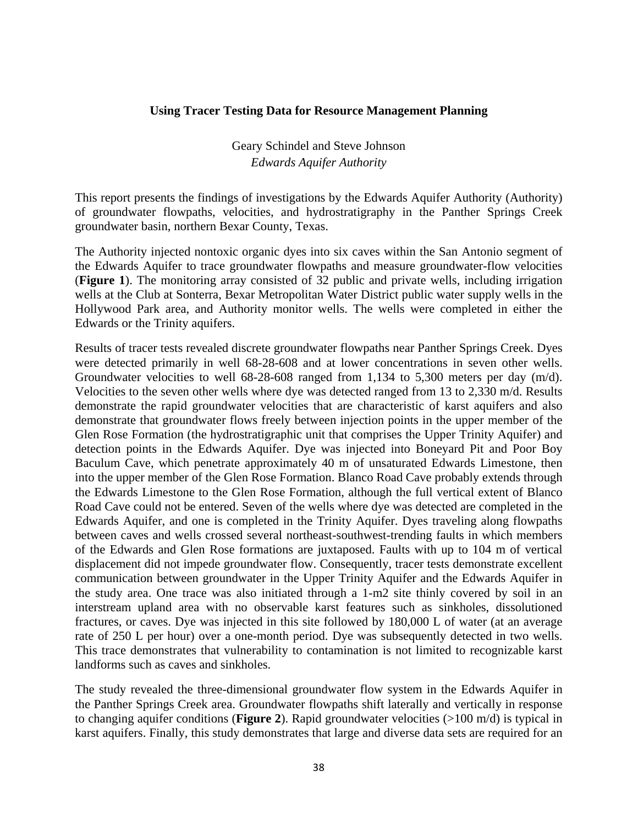## **Using Tracer Testing Data for Resource Management Planning**

Geary Schindel and Steve Johnson *Edwards Aquifer Authority* 

This report presents the findings of investigations by the Edwards Aquifer Authority (Authority) of groundwater flowpaths, velocities, and hydrostratigraphy in the Panther Springs Creek groundwater basin, northern Bexar County, Texas.

The Authority injected nontoxic organic dyes into six caves within the San Antonio segment of the Edwards Aquifer to trace groundwater flowpaths and measure groundwater-flow velocities (**Figure 1**). The monitoring array consisted of 32 public and private wells, including irrigation wells at the Club at Sonterra, Bexar Metropolitan Water District public water supply wells in the Hollywood Park area, and Authority monitor wells. The wells were completed in either the Edwards or the Trinity aquifers.

Results of tracer tests revealed discrete groundwater flowpaths near Panther Springs Creek. Dyes were detected primarily in well 68-28-608 and at lower concentrations in seven other wells. Groundwater velocities to well 68-28-608 ranged from 1,134 to 5,300 meters per day (m/d). Velocities to the seven other wells where dye was detected ranged from 13 to 2,330 m/d. Results demonstrate the rapid groundwater velocities that are characteristic of karst aquifers and also demonstrate that groundwater flows freely between injection points in the upper member of the Glen Rose Formation (the hydrostratigraphic unit that comprises the Upper Trinity Aquifer) and detection points in the Edwards Aquifer. Dye was injected into Boneyard Pit and Poor Boy Baculum Cave, which penetrate approximately 40 m of unsaturated Edwards Limestone, then into the upper member of the Glen Rose Formation. Blanco Road Cave probably extends through the Edwards Limestone to the Glen Rose Formation, although the full vertical extent of Blanco Road Cave could not be entered. Seven of the wells where dye was detected are completed in the Edwards Aquifer, and one is completed in the Trinity Aquifer. Dyes traveling along flowpaths between caves and wells crossed several northeast-southwest-trending faults in which members of the Edwards and Glen Rose formations are juxtaposed. Faults with up to 104 m of vertical displacement did not impede groundwater flow. Consequently, tracer tests demonstrate excellent communication between groundwater in the Upper Trinity Aquifer and the Edwards Aquifer in the study area. One trace was also initiated through a 1-m2 site thinly covered by soil in an interstream upland area with no observable karst features such as sinkholes, dissolutioned fractures, or caves. Dye was injected in this site followed by 180,000 L of water (at an average rate of 250 L per hour) over a one-month period. Dye was subsequently detected in two wells. This trace demonstrates that vulnerability to contamination is not limited to recognizable karst landforms such as caves and sinkholes.

The study revealed the three-dimensional groundwater flow system in the Edwards Aquifer in the Panther Springs Creek area. Groundwater flowpaths shift laterally and vertically in response to changing aquifer conditions (**Figure 2**). Rapid groundwater velocities (>100 m/d) is typical in karst aquifers. Finally, this study demonstrates that large and diverse data sets are required for an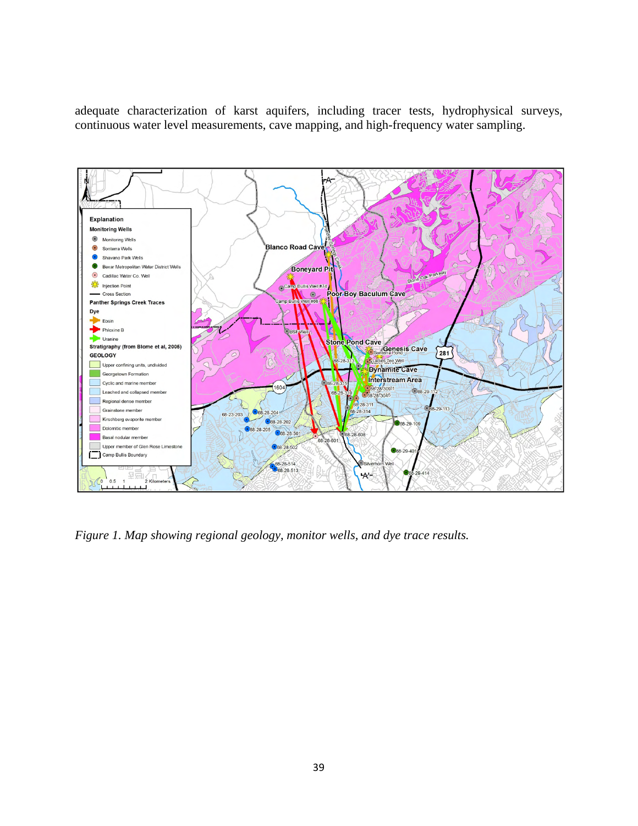adequate characterization of karst aquifers, including tracer tests, hydrophysical surveys, continuous water level measurements, cave mapping, and high-frequency water sampling.



*Figure 1. Map showing regional geology, monitor wells, and dye trace results.*